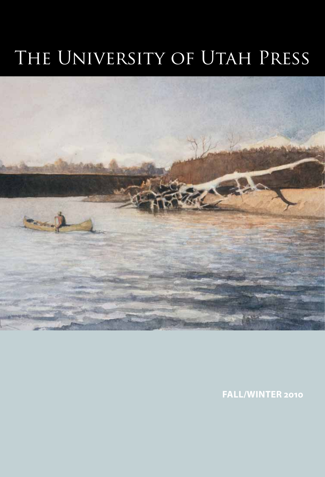# The University of Utah Press



**Fall/Winter 2010**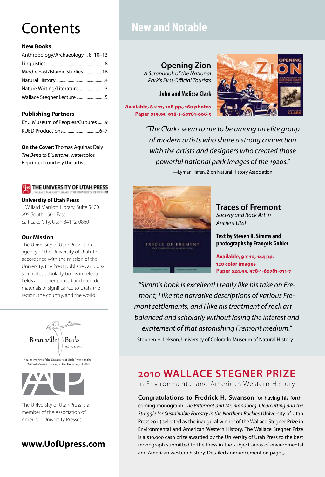# **Contents**

## **New Books**

| Anthropology/Archaeology 8, 10-13 |
|-----------------------------------|
|                                   |
| Middle East/Islamic Studies 16    |
|                                   |
| Nature Writing/Literature 1-3     |
|                                   |
|                                   |

## **Publishing Partners**

| BYU Museum of Peoples/Cultures 9 |  |
|----------------------------------|--|
|                                  |  |

**On the Cover:** Thomas Aquinas Daly *The Bend to Bluestone*, watercolor. Reprinted courtesy the artist.

## **4 THE UNIVERSITY OF UTAH PRESS**

#### **[University of Utah Press](http://www.uofupress.com)**

J. Willard Marriott Library, Suite 5400 295 South 1500 East Salt Lake City, Utah 84112-0860

### **Our Mission**

The University of Utah Press is an agency of the University of Utah. In accordance with the mission of the University, the Press publishes and disseminates scholarly books in selected fields and other printed and recorded materials of significance to Utah, the region, the country, and the world.



The University of Utah Press is a member of the Association of American University Presses.

**www.UofUpress.com**

## **New and Notable**

## **[Opening Zion](http://content.lib.utah.edu/cdm4/item_viewer.php?CISOROOT=/upcat&CISOPTR=1593&CISOBOX=1&REC=2)**

*A Scrapbook of the National Park's First Official Tourists*

**John and Melissa Clark**

**Available, 8 x 12, 108 pp., 160 photos Paper \$19.95, 978-1-60781-006-3**



*"The Clarks seem to me to be among an elite group of modern artists who share a strong connection with the artists and designers who created those powerful national park images of the 1920s."*

—Lyman Hafen, Zion Natural History Association



**[Traces of Fremont](http://content.lib.utah.edu/cdm4/item_viewer.php?CISOROOT=/upcat&CISOPTR=1582&CISOBOX=1&REC=1)** *Society and Rock Art in Ancient Utah*

**Text by Steven R. Simms and photographs by François Gohier**

**Available, 9 x 10, 144 pp. 120 color images Paper \$24.95, 978-1-60781-011-7**

*"Simm's book is excellent! I really like his take on Fremont, I like the narrative descriptions of various Fremont settlements, and I like his treatment of rock art balanced and scholarly without losing the interest and excitement of that astonishing Fremont medium."* —Stephen H. Lekson, University of Colorado Museum of Natural History

## **[2010 Wallace Stegner prize](http://www.uofupress.com/portal/site/uofupress/menuitem.e68c1caf70ae8b401989dd10c1e916b9/?vgnextoid=db0e7ac82782f110VgnVCM1000001c9e619bRCRD)**

in Environmental and American Western History

**Congratulations to Fredrick H. Swanson** for having his forthcoming monograph *The Bitterroot and Mr. Brandborg: Clearcutting and the Struggle for Sustainable Forestry in the Northern Rockies* (University of Utah Press 2011) selected as the inaugural winner of the Wallace Stegner Prize in Environmental and American Western History. The Wallace Stegner Prize is a \$10,000 cash prize awarded by the University of Utah Press to the best monograph submitted to the Press in the subject areas of environmental and American western history. Detailed announcement on page 5.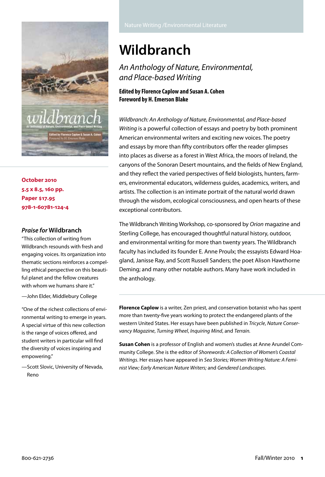

**October 2010 5.5 x 8.5, 160 pp. Paper \$17.95 978-1-60781-124-4**

### *Praise for* **Wildbranch**

"This collection of writing from Wildbranch resounds with fresh and engaging voices. Its organization into thematic sections reinforces a compelling ethical perspective on this beautiful planet and the fellow creatures with whom we humans share it."

—John Elder, Middlebury College

"One of the richest collections of environmental writing to emerge in years. A special virtue of this new collection is the range of voices offered, and student writers in particular will find the diversity of voices inspiring and empowering."

—Scott Slovic, University of Nevada, Reno

# **[Wildbranch](http://content.lib.utah.edu/cdm4/item_viewer.php?CISOROOT=/upcat&CISOPTR=1663&CISOBOX=1&REC=1)**

*An Anthology of Nature, Environmental, and Place-based Writing*

## **Edited by Florence Caplow and Susan A. Cohen Foreword by H. Emerson Blake**

*Wildbranch: An Anthology of Nature, Environmental, and Place-based Writing* is a powerful collection of essays and poetry by both prominent American environmental writers and exciting new voices. The poetry and essays by more than fifty contributors offer the reader glimpses into places as diverse as a forest in West Africa, the moors of Ireland, the canyons of the Sonoran Desert mountains, and the fields of New England, and they reflect the varied perspectives of field biologists, hunters, farmers, environmental educators, wilderness guides, academics, writers, and artists. The collection is an intimate portrait of the natural world drawn through the wisdom, ecological consciousness, and open hearts of these exceptional contributors.

The Wildbranch Writing Workshop, co-sponsored by *Orion* magazine and Sterling College, has encouraged thoughtful natural history, outdoor, and environmental writing for more than twenty years. The Wildbranch faculty has included its founder E. Anne Proulx; the essayists Edward Hoagland, Janisse Ray, and Scott Russell Sanders; the poet Alison Hawthorne Deming; and many other notable authors. Many have work included in the anthology.

**Florence Caplow** is a writer, Zen priest, and conservation botanist who has spent more than twenty-five years working to protect the endangered plants of the western United States. Her essays have been published in *Tricycle*, *Nature Conservancy Magazine*, *Turning Wheel*, *Inquiring Mind*, and *Terrain.*

**Susan Cohen** is a professor of English and women's studies at Anne Arundel Community College. She is the editor of *Shorewords: A Collection of Women's Coastal Writings*. Her essays have appeared in *Sea Stories; Women Writing Nature: A Feminist View; Early American Nature Writers;* and *Gendered Landscapes*.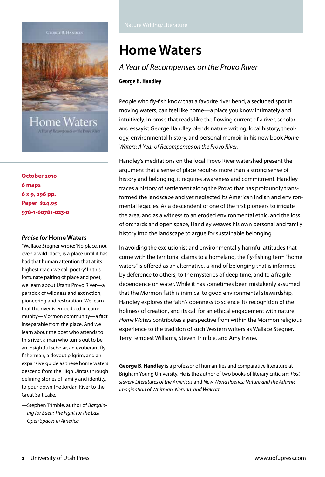

Home Waters

**October 2010 6 maps 6 x 9, 296 pp. Paper \$24.95 978-1-60781-023-0**

#### *Praise for* **Home Waters**

"Wallace Stegner wrote: 'No place, not even a wild place, is a place until it has had that human attention that at its highest reach we call poetry.' In this fortunate pairing of place and poet, we learn about Utah's Provo River—a paradox of wildness and extinction, pioneering and restoration. We learn that the river is embedded in community—Mormon community—a fact inseparable from the place. And we learn about the poet who attends to this river, a man who turns out to be an insightful scholar, an exuberant fly fisherman, a devout pilgrim, and an expansive guide as these home waters descend from the High Uintas through defining stories of family and identity, to pour down the Jordan River to the Great Salt Lake."

# **[Home Waters](http://content.lib.utah.edu/cdm4/item_viewer.php?CISOROOT=/upcat&CISOPTR=1668&CISOBOX=1&REC=1)**

## *A Year of Recompenses on the Provo River*

#### **George B. Handley**

People who fly-fish know that a favorite river bend, a secluded spot in moving waters, can feel like home—a place you know intimately and intuitively. In prose that reads like the flowing current of a river, scholar and essayist George Handley blends nature writing, local history, theology, environmental history, and personal memoir in his new book *Home Waters: A Year of Recompenses on the Provo River*.

Handley's meditations on the local Provo River watershed present the argument that a sense of place requires more than a strong sense of history and belonging, it requires awareness and commitment. Handley traces a history of settlement along the Provo that has profoundly transformed the landscape and yet neglected its American Indian and environmental legacies. As a descendent of one of the first pioneers to irrigate the area, and as a witness to an eroded environmental ethic, and the loss of orchards and open space, Handley weaves his own personal and family history into the landscape to argue for sustainable belonging.

In avoiding the exclusionist and environmentally harmful attitudes that come with the territorial claims to a homeland, the fly-fishing term "home waters" is offered as an alternative, a kind of belonging that is informed by deference to others, to the mysteries of deep time, and to a fragile dependence on water. While it has sometimes been mistakenly assumed that the Mormon faith is inimical to good environmental stewardship, Handley explores the faith's openness to science, its recognition of the holiness of creation, and its call for an ethical engagement with nature. *Home Waters* contributes a perspective from within the Mormon religious experience to the tradition of such Western writers as Wallace Stegner, Terry Tempest Williams, Steven Trimble, and Amy Irvine.

**George B. Handley** is a professor of humanities and comparative literature at Brigham Young University. He is the author of two books of literary criticism: *Postslavery Literatures of the Americas* and *New World Poetics: Nature and the Adamic Imagination of Whitman, Neruda, and Walcott*.

<sup>—</sup>Stephen Trimble, author of *Bargaining for Eden: The Fight for the Last Open Spaces in America*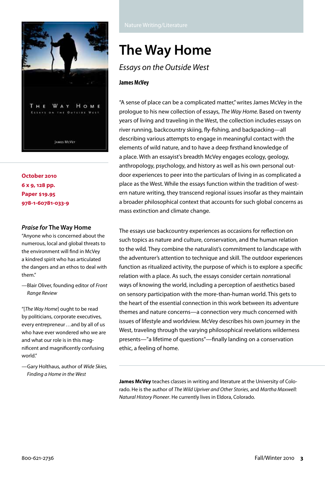

**October 2010 6 x 9, 128 pp. Paper \$19.95 978-1-60781-033-9**

### *Praise for* **The Way Home**

"Anyone who is concerned about the numerous, local and global threats to the environment will find in McVey a kindred spirit who has articulated the dangers and an ethos to deal with them."

—Blair Oliver, founding editor of *Front Range Review*

"[*The Way Home*] ought to be read by politicians, corporate executives, every entrepreneur...and by all of us who have ever wondered who we are and what our role is in this magnificent and magnificently confusing world."

—Gary Holthaus, author of *Wide Skies, Finding a Home in the West*

# **[The Way Home](http://content.lib.utah.edu/cdm4/item_viewer.php?CISOROOT=/upcat&CISOPTR=1675&CISOBOX=1&REC=1)**

## *Essays on the Outside West*

### **James McVey**

"A sense of place can be a complicated matter," writes James McVey in the prologue to his new collection of essays, *The Way Home.* Based on twenty years of living and traveling in the West, the collection includes essays on river running, backcountry skiing, fly-fishing, and backpacking—all describing various attempts to engage in meaningful contact with the elements of wild nature, and to have a deep firsthand knowledge of a place. With an essayist's breadth McVey engages ecology, geology, anthropology, psychology, and history as well as his own personal outdoor experiences to peer into the particulars of living in as complicated a place as the West. While the essays function within the tradition of western nature writing, they transcend regional issues insofar as they maintain a broader philosophical context that accounts for such global concerns as mass extinction and climate change.

The essays use backcountry experiences as occasions for reflection on such topics as nature and culture, conservation, and the human relation to the wild. They combine the naturalist's commitment to landscape with the adventurer's attention to technique and skill. The outdoor experiences function as ritualized activity, the purpose of which is to explore a specific relation with a place. As such, the essays consider certain *non*rational ways of knowing the world, including a perception of aesthetics based on sensory participation with the more-than-human world. This gets to the heart of the essential connection in this work between its adventure themes and nature concerns—a connection very much concerned with issues of lifestyle and worldview. McVey describes his own journey in the West, traveling through the varying philosophical revelations wilderness presents—"a lifetime of questions"—finally landing on a conservation ethic, a feeling of home.

**James McVey** teaches classes in writing and literature at the University of Colorado. He is the author of *The Wild Upriver and Other Stories*, and *Martha Maxwell: Natural History Pioneer*. He currently lives in Eldora, Colorado.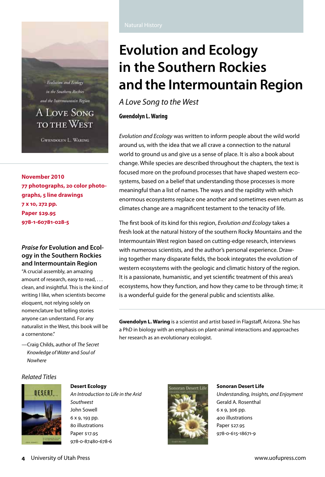Evolution and Ecology in the Southern Rockies and the Intermountain Region

## **A LOVE SONG TO THE WEST**

**GWENDOLYN L. WARING** 

**November 2010 77 photographs, 20 color photographs, 5 line drawings 7 x 10, 272 pp. Paper \$29.95 978-1-60781-028-5**

## *Praise for* **Evolution and Ecology in the Southern Rockies and Intermountain Region**

"A crucial assembly, an amazing amount of research, easy to read, ... clean, and insightful. This is the kind of writing I like, when scientists become eloquent, not relying solely on nomenclature but telling stories anyone can understand. For any naturalist in the West, this book will be a cornerstone."

—Craig Childs, author of *The Secret Knowledge of Water* and *Soul of Nowhere*

# **[Evolution and Ecology](http://content.lib.utah.edu/cdm4/item_viewer.php?CISOROOT=/upcat&CISOPTR=1676&CISOBOX=1&REC=1)  [in the Southern Rockies](http://content.lib.utah.edu/cdm4/item_viewer.php?CISOROOT=/upcat&CISOPTR=1676&CISOBOX=1&REC=1)  [and the Intermountain Region](http://content.lib.utah.edu/cdm4/item_viewer.php?CISOROOT=/upcat&CISOPTR=1676&CISOBOX=1&REC=1)**

*A Love Song to the West*

## **Gwendolyn L. Waring**

*Evolution and Ecology* was written to inform people about the wild world around us, with the idea that we all crave a connection to the natural world to ground us and give us a sense of place. It is also a book about change. While species are described throughout the chapters, the text is focused more on the profound processes that have shaped western ecosystems, based on a belief that understanding those processes is more meaningful than a list of names. The ways and the rapidity with which enormous ecosystems replace one another and sometimes even return as climates change are a magnificent testament to the tenacity of life.

The first book of its kind for this region, *Evolution and Ecology* takes a fresh look at the natural history of the southern Rocky Mountains and the Intermountain West region based on cutting-edge research, interviews with numerous scientists, and the author's personal experience. Drawing together many disparate fields, the book integrates the evolution of western ecosystems with the geologic and climatic history of the region. It is a passionate, humanistic, and yet scientific treatment of this area's ecosystems, how they function, and how they came to be through time; it is a wonderful guide for the general public and scientists alike.

**Gwendolyn L. Waring** is a scientist and artist based in Flagstaff, Arizona. She has a PhD in biology with an emphasis on plant-animal interactions and approaches her research as an evolutionary ecologist.

## *Related Titles*



**[Desert Ecology](http://content.lib.utah.edu/cdm4/item_viewer.php?CISOROOT=/upcat&CISOPTR=1467&CISOBOX=1&REC=2)** *An Introduction to Life in the Arid Southwest* John Sowell

6 x 9, 193 pp. 80 illustrations Paper \$17.95 978-0-87480-678-6



## **[Sonoran Desert Life](http://content.lib.utah.edu/cdm4/item_viewer.php?CISOROOT=/upcat&CISOPTR=1553&CISOBOX=1&REC=2)**

*Understanding, Insights, and Enjoyment* Gerald A. Rosenthal 6 x 9, 306 pp. 400 illustrations Paper \$27.95 978-0-615-18671-9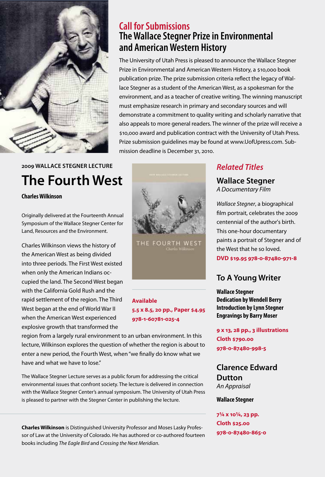

## **2009 Wallace Stegner Lecture [The Fourth West](http://content.lib.utah.edu/cdm4/item_viewer.php?CISOROOT=/upcat&CISOPTR=1677&CISOBOX=1&REC=1)**

### **Charles Wilkinson**

Originally delivered at the Fourteenth Annual Symposium of the Wallace Stegner Center for Land, Resources and the Environment.

Charles Wilkinson views the history of the American West as being divided into three periods. The First West existed when only the American Indians occupied the land. The Second West began with the California Gold Rush and the rapid settlement of the region. The Third West began at the end of World War II when the American West experienced explosive growth that transformed the



mission deadline is December 31, 2010.

**Call for Submissions**

**[and American Western History](http://www.uofupress.com/portal/site/uofupress/menuitem.e68c1caf70ae8b401989dd10c1e916b9/?vgnextoid=db0e7ac82782f110VgnVCM1000001c9e619bRCRD)**

**[The Wallace Stegner Prize in Environmental](http://www.uofupress.com/portal/site/uofupress/menuitem.e68c1caf70ae8b401989dd10c1e916b9/?vgnextoid=db0e7ac82782f110VgnVCM1000001c9e619bRCRD)** 

The University of Utah Press is pleased to announce the Wallace Stegner Prize in Environmental and American Western History, a \$10,000 book publication prize. The prize submission criteria reflect the legacy of Wallace Stegner as a student of the American West, as a spokesman for the environment, and as a teacher of creative writing. The winning manuscript

must emphasize research in primary and secondary sources and will demonstrate a commitment to quality writing and scholarly narrative that also appeals to more general readers. The winner of the prize will receive a \$10,000 award and publication contract with the University of Utah Press. Prize submission guidelines may be found at www.UofUpress.com. Sub-

THE FOURTH WEST

## **Available 5.5 x 8.5, 20 pp., Paper \$4.95 978-1-60781-025-4**

region from a largely rural environment to an urban environment. In this lecture, Wilkinson explores the question of whether the region is about to enter a new period, the Fourth West, when "we finally do know what we have and what we have to lose."

The Wallace Stegner Lecture serves as a public forum for addressing the critical environmental issues that confront society. The lecture is delivered in connection with the Wallace Stegner Center's annual symposium. The University of Utah Press is pleased to partner with the Stegner Center in publishing the lecture.

**Charles Wilkinson** is Distinguished University Professor and Moses Lasky Professor of Law at the University of Colorado. He has authored or co-authored fourteen books including *The Eagle Bird* and *Crossing the Next Meridian*.

## *Related Titles*

**[Wallace Stegner](http://content.lib.utah.edu/cdm4/item_viewer.php?CISOROOT=/upcat&CISOPTR=1471&CISOBOX=1&REC=4)** *A Documentary Film*

*Wallace Stegner*, a biographical film portrait, celebrates the 2009 centennial of the author's birth. This one-hour documentary paints a portrait of Stegner and of the West that he so loved.

**DVD \$19.95 978-0-87480-971-8**

## **[To A Young Writer](http://content.lib.utah.edu/cdm4/item_viewer.php?CISOROOT=/upcat&CISOPTR=1557&CISOBOX=1&REC=1)**

**Wallace Stegner Dedication by Wendell Berry Introduction by Lynn Stegner Engravings by Barry Moser**

**9 x 13, 28 pp., 3 illustrations Cloth \$790.00 978-0-87480-998-5**

## **[Clarence Edward](http://content.lib.utah.edu/cdm4/item_viewer.php?CISOROOT=/upcat&CISOPTR=1165&CISOBOX=1&REC=2)  [Dutton](http://content.lib.utah.edu/cdm4/item_viewer.php?CISOROOT=/upcat&CISOPTR=1165&CISOBOX=1&REC=2)** *An Appraisal*

## **Wallace Stegner**

**7¼ x 10¼, 23 pp. Cloth \$25.00 978-0-87480-865-0**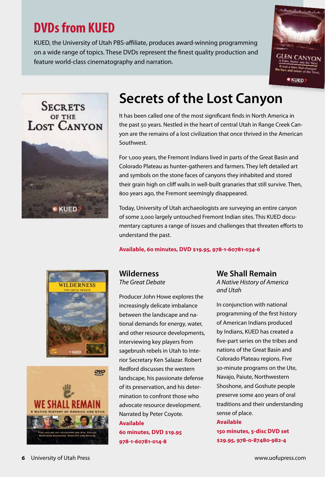# **DVDs from KUED**

KUED, the University of Utah PBS-affiliate, produces award-winning programming on a wide range of topics. These DVDs represent the finest quality production and feature world-class cinematography and narration.





# **[Secrets of the Lost Canyon](http://content.lib.utah.edu/cdm4/item_viewer.php?CISOROOT=/upcat&CISOPTR=1673&CISOBOX=1&REC=1)**

It has been called one of the most significant finds in North America in the past 50 years. Nestled in the heart of central Utah in Range Creek Canyon are the remains of a lost civilization that once thrived in the American Southwest.

For 1,000 years, the Fremont Indians lived in parts of the Great Basin and Colorado Plateau as hunter-gatherers and farmers. They left detailed art and symbols on the stone faces of canyons they inhabited and stored their grain high on cliff walls in well-built granaries that still survive. Then, 800 years ago, the Fremont seemingly disappeared.

Today, University of Utah archaeologists are surveying an entire canyon of some 2,000 largely untouched Fremont Indian sites. This KUED documentary captures a range of issues and challenges that threaten efforts to understand the past.

**Available, 60 minutes, DVD \$19.95, 978-1-60781-034-6**





## **[Wilderness](http://content.lib.utah.edu/cdm4/item_viewer.php?CISOROOT=/upcat&CISOPTR=1589&CISOBOX=1&REC=5)** *The Great Debate*

Producer John Howe explores the increasingly delicate imbalance between the landscape and national demands for energy, water, and other resource developments, interviewing key players from sagebrush rebels in Utah to Interior Secretary Ken Salazar. Robert Redford discusses the western landscape, his passionate defense of its preservation, and his determination to confront those who advocate resource development. Narrated by Peter Coyote. **Available** 

**60 minutes, DVD \$19.95 978-1-60781-014-8**

**[We Shall Remain](http://content.lib.utah.edu/cdm4/item_viewer.php?CISOROOT=/upcat&CISOPTR=1511&CISOBOX=1&REC=1)** 

*A Native History of America and Utah*

In conjunction with national programming of the first history of American Indians produced by Indians, KUED has created a five-part series on the tribes and nations of the Great Basin and Colorado Plateau regions. Five 30-minute programs on the Ute, Navajo, Paiute, Northwestern Shoshone, and Goshute people preserve some 400 years of oral traditions and their understanding sense of place.

**Available 150 minutes, 5-disc DVD set \$29.95, 978-0-87480-982-4**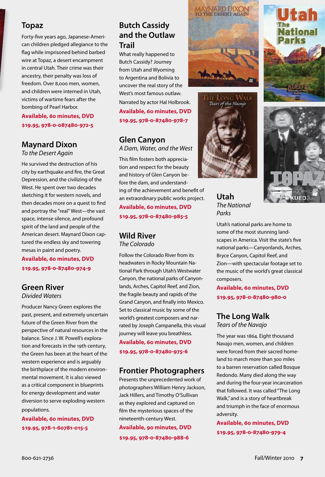## **[Topaz](http://content.lib.utah.edu/cdm4/item_viewer.php?CISOROOT=/upcat&CISOPTR=1491&CISOBOX=1&REC=1)**

Forty-five years ago, Japanese-American children pledged allegiance to the flag while imprisoned behind barbed wire at Topaz, a desert encampment in central Utah. Their crime was their ancestry, their penalty was loss of freedom. Over 8,000 men, women, and children were interned in Utah, victims of wartime fears after the bombing of Pearl Harbor.

## **Available, 60 minutes, DVD \$19.95, 978-0-087480-972-5**

## **[Maynard Dixon](http://content.lib.utah.edu/cdm4/item_viewer.php?CISOROOT=/upcat&CISOPTR=1399&CISOBOX=1&REC=1)**

*To the Desert Again*

He survived the destruction of his city by earthquake and fire, the Great Depression, and the civilizing of the West. He spent over two decades sketching it for western novels, and then decades more on a quest to find and portray the "real" West—the vast space, intense silence, and profound spirit of the land and people of the American desert. Maynard Dixon captured the endless sky and towering mesas in paint and poetry.

**Available, 60 minutes, DVD \$19.95, 978-0-87480-974-9**

## **[Green River](http://content.lib.utah.edu/cdm4/item_viewer.php?CISOROOT=/upcat&CISOPTR=1572&CISOBOX=1&REC=3)** *Divided Waters*

Producer Nancy Green explores the past, present, and extremely uncertain future of the Green River from the perspective of natural resources in the balance. Since J. W. Powell's exploration and forecasts in the 19th century, the Green has been at the heart of the western experience and is arguably the birthplace of the modern environmental movement. It is also viewed as a critical component in blueprints for energy development and water diversion to serve exploding western populations.

**Available, 60 minutes, DVD \$19.95, 978-1-60781-015-5**

## **[Butch Cassidy](http://content.lib.utah.edu/cdm4/item_viewer.php?CISOROOT=/upcat&CISOPTR=1285&CISOBOX=1&REC=2)  [and the Outlaw](http://content.lib.utah.edu/cdm4/item_viewer.php?CISOROOT=/upcat&CISOPTR=1285&CISOBOX=1&REC=2)  [Trail](http://content.lib.utah.edu/cdm4/item_viewer.php?CISOROOT=/upcat&CISOPTR=1285&CISOBOX=1&REC=2)**

What really happened to Butch Cassidy? Journey from Utah and Wyoming to Argentina and Bolivia to uncover the real story of the West's most famous outlaw. Narrated by actor Hal Holbrook. **Available, 60 minutes, DVD \$19.95, 978-0-87480-978-7**

## **[Glen Canyon](http://content.lib.utah.edu/cdm4/item_viewer.php?CISOROOT=/upcat&CISOPTR=1543&CISOBOX=1&REC=11)**

*A Dam, Water, and the West*

This film fosters both appreciation and respect for the beauty and history of Glen Canyon before the dam, and understanding of the achievement and benefit of an extraordinary public works project. **Available, 60 minutes, DVD \$19.95, 978-0-87480-985-5**

## **[Wild River](http://content.lib.utah.edu/cdm4/item_viewer.php?CISOROOT=/upcat&CISOPTR=1519&CISOBOX=1&REC=3)**

*The Colorado*

Follow the Colorado River from its headwaters in Rocky Mountain National Park through Utah's Westwater Canyon, the national parks of Canyonlands, Arches, Capitol Reef, and Zion, the fragile beauty and rapids of the Grand Canyon, and finally into Mexico. Set to classical music by some of the world's greatest composers and narrated by Joseph Campanella, this visual journey will leave you breathless.

**Available, 60 minutes, DVD \$19.95, 978-0-87480-975-6**

## **[Frontier Photographers](http://content.lib.utah.edu/cdm4/item_viewer.php?CISOROOT=/upcat&CISOPTR=1542&CISOBOX=1&REC=1)**

Presents the unprecedented work of photographers William Henry Jackson, Jack Hillers, and Timothy O'Sullivan as they explored and captured on film the mysterious spaces of the nineteenth-century West.

**Available, 90 minutes, DVD \$19.95, 978-0-87480-988-6**





**[Utah](http://content.lib.utah.edu/cdm4/item_viewer.php?CISOROOT=/upcat&CISOPTR=1500&CISOBOX=1&REC=3)** *The National Parks*

Utah's national parks are home to some of the most stunning landscapes in America. Visit the state's five national parks—Canyonlands, Arches, Bryce Canyon, Capitol Reef, and Zion—with spectacular footage set to the music of the world's great classical composers.

**Available, 60 minutes, DVD \$19.95, 978-0-87480-980-0**

# **[The Long Walk](http://content.lib.utah.edu/cdm4/item_viewer.php?CISOROOT=/upcat&CISOPTR=1498&CISOBOX=1&REC=1)**

*Tears of the Navajo*

The year was 1864. Eight thousand Navajo men, women, and children were forced from their sacred homeland to march more than 300 miles to a barren reservation called Bosque Redondo. Many died along the way and during the four-year incarceration that followed. It was called "The Long Walk," and is a story of heartbreak and triumph in the face of enormous adversity.

**Available, 60 minutes, DVD \$19.95, 978-0-87480-979-4**



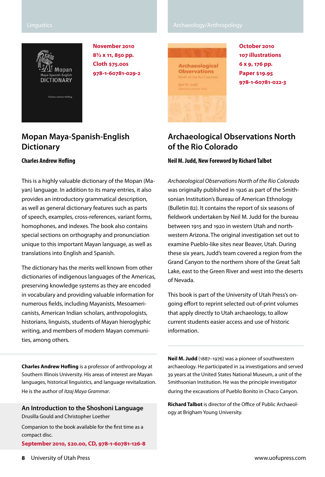#### Lingustics **Archaeology/Anthropology**



**November 2010 8½ x 11, 850 pp. Cloth \$75.00s 978-1-60781-029-2**

## **[Mopan Maya-Spanish-English](http://content.lib.utah.edu/cdm4/item_viewer.php?CISOROOT=/upcat&CISOPTR=1670&CISOBOX=1&REC=1)  [Dictionary](http://content.lib.utah.edu/cdm4/item_viewer.php?CISOROOT=/upcat&CISOPTR=1670&CISOBOX=1&REC=1)**

#### **Charles Andrew Hofling**

This is a highly valuable dictionary of the Mopan (Mayan) language. In addition to its many entries, it also provides an introductory grammatical description, as well as general dictionary features such as parts of speech, examples, cross-references, variant forms, homophones, and indexes. The book also contains special sections on orthography and pronunciation unique to this important Mayan language, as well as translations into English and Spanish.

The dictionary has the merits well known from other dictionaries of indigenous languages of the Americas, preserving knowledge systems as they are encoded in vocabulary and providing valuable information for numerous fields, including Mayanists, Mesoamericanists, American Indian scholars, anthropologists, historians, linguists, students of Mayan hieroglyphic writing, and members of modern Mayan communities, among others.

**Charles Andrew Hofling** is a professor of anthropology at Southern Illinois University. His areas of interest are Mayan languages, historical linguistics, and language revitalization. He is the author of *Itzaj Maya Grammar*.

**[An Introduction to the Shoshoni Language](http://content.lib.utah.edu/cdm4/item_viewer.php?CISOROOT=/upcat&CISOPTR=1680&CISOBOX=1&REC=1)** Drusilla Gould and Christopher Loether

Companion to the book available for the first time as a compact disc.

**September 2010, \$20.00, CD, 978-1-60781-126-8**

Archaeological **Observations** Nell M. Judit



**October 2010 107 illustrations 6 x 9, 176 pp. Paper \$19.95 978-1-60781-022-3**

## **[Archaeological Observations North](http://content.lib.utah.edu/cdm4/item_viewer.php?CISOROOT=/upcat&CISOPTR=1671&CISOBOX=1&REC=2)  [of the Rio Colorado](http://content.lib.utah.edu/cdm4/item_viewer.php?CISOROOT=/upcat&CISOPTR=1671&CISOBOX=1&REC=2)**

#### **Neil M. Judd, New Foreword by Richard Talbot**

*Archaeological Observations North of the Rio Colorado* was originally published in 1926 as part of the Smithsonian Institution's Bureau of American Ethnology (Bulletin 82). It contains the report of six seasons of fieldwork undertaken by Neil M. Judd for the bureau between 1915 and 1920 in western Utah and northwestern Arizona. The original investigation set out to examine Pueblo-like sites near Beaver, Utah. During these six years, Judd's team covered a region from the Grand Canyon to the northern shore of the Great Salt Lake, east to the Green River and west into the deserts of Nevada.

This book is part of the University of Utah Press's ongoing effort to reprint selected out-of-print volumes that apply directly to Utah archaeology, to allow current students easier access and use of historic information.

**Neil M. Judd** (1887–1976) was a pioneer of southwestern archaeology. He participated in 24 investigations and served 39 years at the United States National Museum, a unit of the Smithsonian Institution. He was the principle investigator during the excavations of Pueblo Bonito in Chaco Canyon.

**Richard Talbot** is director of the Office of Public Archaeology at Brigham Young University.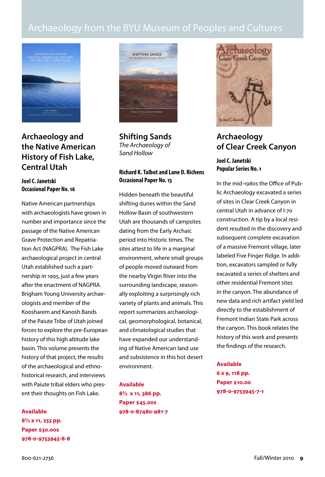## Archaeology from the BYU Museum of Peoples and Cultures



**[Archaeology and](http://content.lib.utah.edu/cdm4/item_viewer.php?CISOROOT=/upcat&CISOPTR=1660&CISOBOX=1&REC=7)  [the Native American](http://content.lib.utah.edu/cdm4/item_viewer.php?CISOROOT=/upcat&CISOPTR=1660&CISOBOX=1&REC=7)  [History of Fish Lake,](http://content.lib.utah.edu/cdm4/item_viewer.php?CISOROOT=/upcat&CISOPTR=1660&CISOBOX=1&REC=7)  [Central Utah](http://content.lib.utah.edu/cdm4/item_viewer.php?CISOROOT=/upcat&CISOPTR=1660&CISOBOX=1&REC=7)**

**Joel C. Janetski Occasional Paper No. 16** 

Native American partnerships with archaeologists have grown in number and importance since the passage of the Native American Grave Protection and Repatriation Act (NAGPRA). The Fish Lake archaeological project in central Utah established such a partnership in 1995, just a few years after the enactment of NAGPRA. Brigham Young University archaeologists and member of the Koosharem and Kanosh Bands of the Paiute Tribe of Utah joined forces to explore the pre-European history of this high altitude lake basin. This volume presents the history of that project, the results of the archaeological and ethnohistorical research, and interviews with Paiute tribal elders who present their thoughts on Fish Lake.

**Available 8½ x 11, 255 pp. Paper \$30.00s 978-0-9753945-8-8**



**[Shifting Sands](http://content.lib.utah.edu/cdm4/item_viewer.php?CISOROOT=/upcat&CISOPTR=1454&CISOBOX=1&REC=1)** *The Archaeology of Sand Hollow*

## **Richard K. Talbot and Lane D. Richens Occasional Paper No. 13**

Hidden beneath the beautiful shifting dunes within the Sand Hollow Basin of southwestern Utah are thousands of campsites dating from the Early Archaic period into Historic times. The sites attest to life in a marginal environment, where small groups of people moved outward from the nearby Virgin River into the surrounding landscape, seasonally exploiting a surprisingly rich variety of plants and animals. This report summarizes archaeological, geomorphological, botanical, and climatological studies that have expanded our understanding of Native American land use and subsistence in this hot desert environment.

**Available 8½ x 11, 386 pp. Paper \$45.00s 978-0-87480-981-7**



## **[Archaeology](http://content.lib.utah.edu/cdm4/item_viewer.php?CISOROOT=/upcat&CISOPTR=1662&CISOBOX=1&REC=5)  [of Clear Creek Canyon](http://content.lib.utah.edu/cdm4/item_viewer.php?CISOROOT=/upcat&CISOPTR=1662&CISOBOX=1&REC=5)**

## **Joel C. Janetski Popular Series No. 1**

In the mid-1980s the Office of Public Archaeology excavated a series of sites in Clear Creek Canyon in central Utah in advance of I-70 construction. A tip by a local resident resulted in the discovery and subsequent complete excavation of a massive Fremont village, later labeled Five Finger Ridge. In addition, excavators sampled or fully excavated a series of shelters and other residential Fremont sites in the canyon. The abundance of new data and rich artifact yield led directly to the establishment of Fremont Indian State Park across the canyon. This book relates the history of this work and presents the findings of the research.

### **Available**

**6 x 9, 118 pp. Paper \$10.00 978-0-9753945-7-1**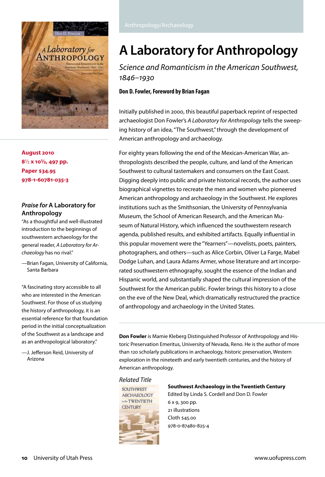

**August 2010 8**½ **x 10½, 497 pp. Paper \$34.95 978-1-60781-035-3**

## *Praise for* **A Laboratory for Anthropology**

"As a thoughtful and well-illustrated introduction to the beginnings of southwestern archaeology for the general reader, *A Laboratory for Archaeology* has no rival."

—Brian Fagan, University of California, Santa Barbara

"A fascinating story accessible to all who are interested in the American Southwest. For those of us studying the history of anthropology, it is an essential reference for that foundation period in the initial conceptualization of the Southwest as a landscape and as an anthropological laboratory."

—J. Jefferson Reid, University of Arizona

# **A [Laboratory for Anthropology](http://content.lib.utah.edu/cdm4/item_viewer.php?CISOROOT=/upcat&CISOPTR=1667&CISOBOX=1&REC=3)**

*Science and Romanticism in the American Southwest, 1846–1930*

## **Don D. Fowler, Foreword by Brian Fagan**

Initially published in 2000, this beautiful paperback reprint of respected archaeologist Don Fowler's *A Laboratory for Anthropology* tells the sweeping history of an idea, "The Southwest," through the development of American anthropology and archaeology.

For eighty years following the end of the Mexican-American War, anthropologists described the people, culture, and land of the American Southwest to cultural tastemakers and consumers on the East Coast. Digging deeply into public and private historical records, the author uses biographical vignettes to recreate the men and women who pioneered American anthropology and archaeology in the Southwest. He explores institutions such as the Smithsonian, the University of Pennsylvania Museum, the School of American Research, and the American Museum of Natural History, which influenced the southwestern research agenda, published results, and exhibited artifacts. Equally influential in this popular movement were the "Yearners"—novelists, poets, painters, photographers, and others—such as Alice Corbin, Oliver La Farge, Mabel Dodge Luhan, and Laura Adams Armer, whose literature and art incorporated southwestern ethnography, sought the essence of the Indian and Hispanic world, and substantially shaped the cultural impression of the Southwest for the American public. Fowler brings this history to a close on the eve of the New Deal, which dramatically restructured the practice of anthropology and archaeology in the United States.

**Don Fowler** is Mamie Kleberg Distinguished Professor of Anthropology and Historic Preservation Emeritus, University of Nevada, Reno. He is the author of more than 120 scholarly publications in archaeology, historic preservation, Western exploration in the nineteeth and early twentieth centuries, and the history of American anthropology.

### *[Related Title](http://content.lib.utah.edu/cdm4/item_viewer.php?CISOROOT=/upcat&CISOPTR=1297&CISOBOX=1&REC=18)*



## **[Southwest Archaeology in the Twentieth Century](http://content.lib.utah.edu/cdm4/item_viewer.php?CISOROOT=/upcat&CISOPTR=1297&CISOBOX=1&REC=12)**

Edited by Linda S. Cordell and Don D. Fowler 6 x 9, 300 pp. 21 illustrations Cloth \$45.00 978-0-87480-825-4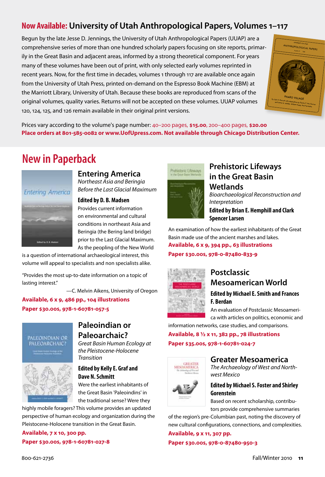## **Now Available: University of Utah Anthropological Papers, Volumes 1–117**

Begun by the late Jesse D. Jennings, the University of Utah Anthropological Papers (UUAP) are a comprehensive series of more than one hundred scholarly papers focusing on site reports, primarily in the Great Basin and adjacent areas, informed by a strong theoretical component. For years many of these volumes have been out of print, with only selected early volumes reprinted in recent years. Now, for the first time in decades, volumes 1 through 117 are available once again from the University of Utah Press, printed on-demand on the Espresso Book Machine (EBM) at the Marriott Library, University of Utah. Because these books are reproduced from scans of the original volumes, quality varies. Returns will not be accepted on these volumes. UUAP volumes 120, 124, 125, and 126 remain available in their original print versions.



Prices vary according to the volume's page number: 40–200 pages, **\$15.00**, 200–400 pages, **\$20.00 Place orders at 801-585-0082 or www.UofUpress.com. Not available through Chicago Distribution Center.**

## **New in Paperback**



## **[Entering America](http://content.lib.utah.edu/cdm4/item_viewer.php?CISOROOT=/upcat&CISOPTR=1394&CISOBOX=1&REC=1)**

*Northeast Asia and Beringia Before the Last Glacial Maximum*

**Edited by D. B. Madsen**

Provides current information on environmental and cultural conditions in northeast Asia and Beringia (the Bering land bridge) prior to the Last Glacial Maximum. As the peopling of the New World

is a question of international archaeological interest, this volume will appeal to specialists and non specialists alike.

"Provides the most up-to-date information on a topic of lasting interest."

—C. Melvin Aikens, University of Oregon

**Available, 6 x 9, 486 pp., 104 illustrations Paper \$30.00s, 978-1-60781-057-5**



## **[Paleoindian or](http://content.lib.utah.edu/cdm4/item_viewer.php?CISOROOT=/upcat&CISOPTR=1203&CISOBOX=1&REC=2)  [Paleoarchaic?](http://content.lib.utah.edu/cdm4/item_viewer.php?CISOROOT=/upcat&CISOPTR=1203&CISOBOX=1&REC=2)**

*Great Basin Human Ecology at the Pleistocene-Holocene Transition*

## **Edited by Kelly E. Graf and Dave N. Schmitt**

Were the earliest inhabitants of the Great Basin 'Paleoindins' in the traditional sense? Were they

highly mobile foragers? This volume provides an updated perspective of human ecology and organization during the Pleistocene-Holocene transition in the Great Basin.

**Available, 7 x 10, 300 pp. Paper \$30.00s, 978-1-60781-027-8** 



## **[Prehistoric Lifeways](http://content.lib.utah.edu/cdm4/item_viewer.php?CISOROOT=/upcat&CISOPTR=1349&CISOBOX=1&REC=7)  [in the Great Basin](http://content.lib.utah.edu/cdm4/item_viewer.php?CISOROOT=/upcat&CISOPTR=1349&CISOBOX=1&REC=7)  [Wetlands](http://content.lib.utah.edu/cdm4/item_viewer.php?CISOROOT=/upcat&CISOPTR=1349&CISOBOX=1&REC=7)**

*Bioarchaeological Reconstruction and Interpretation*

**Edited by Brian E. Hemphill and Clark Spencer Larsen**

An examination of how the earliest inhabitants of the Great Basin made use of the ancient marshes and lakes. **Available, 6 x 9, 394 pp., 63 illustrations**

**Paper \$30.00s, 978-0-87480-833-9**



## **[Postclassic](http://content.lib.utah.edu/cdm4/item_viewer.php?CISOROOT=/upcat&CISOPTR=1462&CISOBOX=1&REC=1) [Mesoamerican World](http://content.lib.utah.edu/cdm4/item_viewer.php?CISOROOT=/upcat&CISOPTR=1462&CISOBOX=1&REC=1)**

## **Edited by Michael E. Smith and Frances F. Berdan**

An evaluation of Postclassic Mesoamerica with articles on politics, economic and

information networks, case studies, and comparisons.

**Available, 8 ½ x 11, 382 pp., 78 illustrations Paper \$35.00s, 978-1-60781-024-7**



## **[Greater Mesoamerica](http://content.lib.utah.edu/cdm4/item_viewer.php?CISOROOT=/upcat&CISOPTR=1600&CISOBOX=1&REC=1)**

*The Archaeology of West and Northwest Mexico*

## **Edited by Michael S. Foster and Shirley Gorenstein**

Based on recent scholarship, contributors provide comprehensive summaries

of the region's pre-Columbian past, noting the discovery of new cultural configurations, connections, and complexities.

## **Available, 9 x 11, 307 pp.**

**Paper \$30.00s, 978-0-87480-950-3**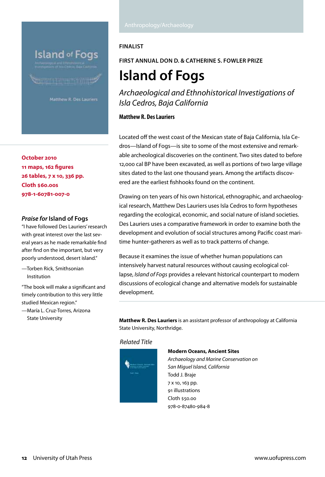**Island of Fogs** 

**Communication** 

**October 2010 11 maps, 162 figures 26 tables, 7 x 10, 336 pp. Cloth \$60.00s 978-1-60781-007-0**

### *Praise for* **Island of Fogs**

"I have followed Des Lauriers' research with great interest over the last several years as he made remarkable find after find on the important, but very poorly understood, desert island."

—Torben Rick, Smithsonian Institution

"The book will make a significant and timely contribution to this very little studied Mexican region."

—María L. Cruz-Torres, Arizona State University

## **Finalist**

**first annual Don D. & Catherine S. Fowler Prize**

# **[Island of Fogs](http://content.lib.utah.edu/cdm4/item_viewer.php?CISOROOT=/upcat&CISOPTR=1665&CISOBOX=1&REC=1)**

*Archaeological and Ethnohistorical Investigations of Isla Cedros, Baja California*

## **Matthew R. Des Lauriers**

Located off the west coast of the Mexican state of Baja California, Isla Cedros—Island of Fogs—is site to some of the most extensive and remarkable archeological discoveries on the continent. Two sites dated to before 12,000 cal BP have been excavated, as well as portions of two large village sites dated to the last one thousand years. Among the artifacts discovered are the earliest fishhooks found on the continent.

Drawing on ten years of his own historical, ethnographic, and archaeological research, Matthew Des Lauriers uses Isla Cedros to form hypotheses regarding the ecological, economic, and social nature of island societies. Des Lauriers uses a comparative framework in order to examine both the development and evolution of social structures among Pacific coast maritime hunter-gatherers as well as to track patterns of change.

Because it examines the issue of whether human populations can intensively harvest natural resources without causing ecological collapse, *Island of Fogs* provides a relevant historical counterpart to modern discussions of ecological change and alternative models for sustainable development.

**Matthew R. Des Lauriers** is an assistant professor of anthropology at California State University, Northridge.

### *Related Title*



#### **[Modern Oceans, Ancient Sites](http://content.lib.utah.edu/cdm4/item_viewer.php?CISOROOT=/upcat&CISOPTR=1537&CISOBOX=1&REC=6)**

*Archaeology and Marine Conservation on San Miguel Island, California* Todd J. Braje 7 x 10, 163 pp. 91 illustrations Cloth \$50.00 978-0-87480-984-8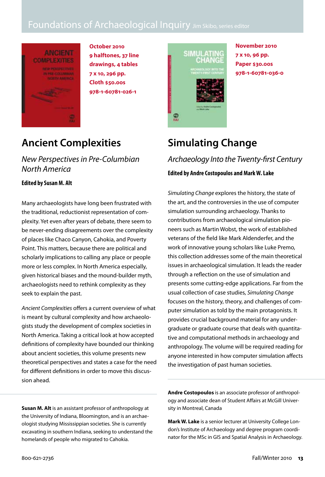## Foundations of Archaeological Inquiry Jim Skibo, series editor



**October 2010 9 halftones, 37 line drawings, 4 tables 7 x 10, 296 pp. Cloth \$50.00s 978-1-60781-026-1**

## **[Ancient Complexities](http://content.lib.utah.edu/cdm4/item_viewer.php?CISOROOT=/upcat&CISOPTR=1659&CISOBOX=1&REC=1)**

*New Perspectives in Pre-Columbian North America*

**Edited by Susan M. Alt**

Many archaeologists have long been frustrated with the traditional, reductionist representation of complexity. Yet even after years of debate, there seem to be never-ending disagreements over the complexity of places like Chaco Canyon, Cahokia, and Poverty Point. This matters, because there are political and scholarly implications to calling any place or people more or less complex. In North America especially, given historical biases and the mound-builder myth, archaeologists need to rethink complexity as they seek to explain the past.

*Ancient Complexities* offers a current overview of what is meant by cultural complexity and how archaeologists study the development of complex societies in North America. Taking a critical look at how accepted definitions of complexity have bounded our thinking about ancient societies, this volume presents new theoretical perspectives and states a case for the need for different definitions in order to move this discussion ahead.

**Susan M. Alt** is an assistant professor of anthropology at the University of Indiana, Bloomington, and is an archaeologist studying Mississippian societies. She is currently excavating in southern Indiana, seeking to understand the homelands of people who migrated to Cahokia.

SIMULATING<br>CHANGE 需

**November 2010 7 x 10, 96 pp. Paper \$30.00s 978-1-60781-036-0**

## **[Simulating Change](http://content.lib.utah.edu/cdm4/item_viewer.php?CISOROOT=/upcat&CISOPTR=1664&CISOBOX=1&REC=1)**

*Archaeology Into the Twenty-first Century* **Edited by Andre Costopoulos and Mark W. Lake**

*Simulating Change* explores the history, the state of the art, and the controversies in the use of computer simulation surrounding archaeology. Thanks to contributions from archaeological simulation pioneers such as Martin Wobst, the work of established veterans of the field like Mark Aldenderfer, and the work of innovative young scholars like Luke Premo, this collection addresses some of the main theoretical issues in archaeological simulation. It leads the reader through a reflection on the use of simulation and presents some cutting-edge applications. Far from the usual collection of case studies, *Simulating Change* focuses on the history, theory, and challenges of computer simulation as told by the main protagonists. It provides crucial background material for any undergraduate or graduate course that deals with quantitative and computational methods in archaeology and anthropology. The volume will be required reading for anyone interested in how computer simulation affects the investigation of past human societies.

**Andre Costopoulos** is an associate professor of anthropology and associate dean of Student Affairs at McGill University in Montreal, Canada

**Mark W. Lake** is a senior lecturer at University College London's Institute of Archaeology and degree program coordinator for the MSc in GIS and Spatial Analysis in Archaeology.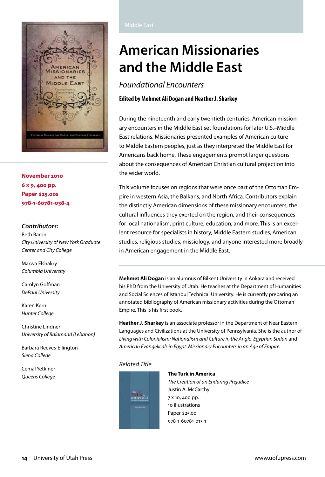

**November 2010 6 x 9, 400 pp. Paper \$25.00s 978-1-60781-038-4**

#### *Contributors:*

Beth Baron *City University of New York Graduate Center and City College*

Marwa Elshakry *Columbia University*

Carolyn Goffman *DePaul University*

Karen Kern *Hunter College*

Christine Lindner *University of Balamand (Lebanon)*

Barbara Reeves-Ellington *Siena College*

Cemal Yetkiner

# **[American Missionaries](http://content.lib.utah.edu/cdm4/item_viewer.php?CISOROOT=/upcat&CISOPTR=1666&CISOBOX=1&REC=1)  [and the Middle East](http://content.lib.utah.edu/cdm4/item_viewer.php?CISOROOT=/upcat&CISOPTR=1666&CISOBOX=1&REC=1)**

*Foundational Encounters*

**Edited by Mehmet Ali Doğan and Heather J. Sharkey**

During the nineteenth and early twentieth centuries, American missionary encounters in the Middle East set foundations for later U.S.–Middle East relations. Missionaries presented examples of American culture to Middle Eastern peoples, just as they interpreted the Middle East for Americans back home. These engagements prompt larger questions about the consequences of American Christian cultural projection into the wider world.

This volume focuses on regions that were once part of the Ottoman Empire in western Asia, the Balkans, and North Africa. Contributors explain the distinctly American dimensions of these missionary encounters, the cultural influences they exerted on the region, and their consequences for local nationalism, print culture, education, and more. This is an excellent resource for specialists in history, Middle Eastern studies, American studies, religious studies, missiology, and anyone interested more broadly in American engagement in the Middle East.

**Mehmet Ali Doğan** is an alumnus of Bilkent University in Ankara and received his PhD from the University of Utah. He teaches at the Department of Humanities and Social Sciences of Istanbul Technical University. He is currently preparing an annotated bibliography of American missionary activities during the Ottoman Empire*.* This is his first book.

**Heather J. Sharkey** is an associate professor in the Department of Near Eastern Languages and Civilizations at the University of Pennsylvania. She is the author of *Living with Colonialism: Nationalism and Culture in the Anglo-Egyptian Sudan* and *American Evangelicals in Egypt: Missionary Encounters in an Age of Empire.*

## *Related Title*



*The Creation of an Enduring Prejudice* Justin A. McCarthy 7 x 10, 400 pp. 10 illustrations Paper \$25.00 978-1-60781-013-1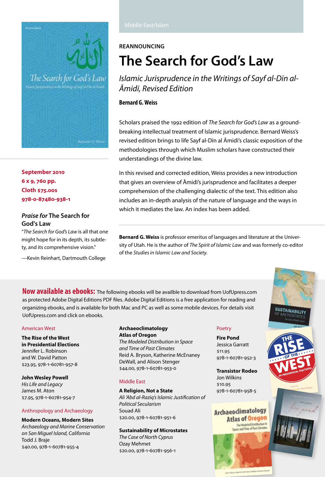

**September 2010 6 x 9, 760 pp. Cloth \$75.00s 978-0-87480-938-1**

## *Praise for* **The Search for God's Law**

"*The Search for God's Law* is all that one might hope for in its depth, its subtlety, and its comprehensive vision."

—Kevin Reinhart, Dartmouth College

## **Reannouncing**

# **[The Search for God's Law](http://content.lib.utah.edu/cdm4/item_viewer.php?CISOROOT=/upcat&CISOPTR=1228&CISOBOX=1&REC=1)**

*Islamic Jurisprudence in the Writings of Sayf al-Dīn al-Āmidī, Revised Edition*

## **Bernard G. Weiss**

Scholars praised the 1992 edition of *The Search for God's Law* as a groundbreaking intellectual treatment of Islamic jurisprudence. Bernard Weiss's revised edition brings to life Sayf al-Dīn al Āmidī's classic exposition of the methodologies through which Muslim scholars have constructed their understandings of the divine law.

In this revised and corrected edition, Weiss provides a new introduction that gives an overview of Āmidī's jurisprudence and facilitates a deeper comprehension of the challenging dialectic of the text. This edition also includes an in-depth analysis of the nature of language and the ways in which it mediates the law. An index has been added.

**Bernard G. Weiss** is professor emeritus of languages and literature at the University of Utah. He is the author of *The Spirit of Islamic Law* and was formerly co-editor of the *Studies in Islamic Law and Society.*

**Now available as ebooks:** The following ebooks will be availble to download from UofUpress.com as protected Adobe Digital Editions PDF files. Adobe Digital Editions is a free application for reading and organizing ebooks, and is available for both Mac and PC as well as some mobile devices. For details visit UofUpress.com and click on ebooks.

#### American West

**The Rise of the West in Presidential Elections** Jennifer L. Robinson and W. David Patton \$23.95, 978-1-60781-957-8

**John Wesley Powell**

*His Life and Legacy* James M. Aton \$7.95, 978-1-60781-954-7

#### Anthropology and Archaeology

**Modern Oceans, Modern Sites** *Archaeology and Marine Conservation on San Miguel Island, California* Todd J. Braje \$40.00, 978-1-60781-955-4

#### **Archaeoclimatology Atlas of Oregon**

*The Modeled Distribution in Space and Time of Past Climates* Reid A. Bryson, Katherine McEnaney DeWall, and Alison Stenger \$44.00, 978-1-60781-953-0

### Middle East

**A Religion, Not a State** *Ali 'Abd al-Raziq's Islamic Justification of Political Secularism* Souad Ali \$20.00, 978-1-60781-951-6

#### **Sustainability of Microstates**

*The Case of North Cyprus* Ozay Mehmet \$20.00, 978-1-60781-956-1

### Poetry

**Fire Pond** Jessica Garratt \$11.95 978-1-60781-952-3

**Transistor Rodeo** Jon Wilkins \$10.95 978-1-60781-958-5

## **Archaeoclimatology Atlas of Oregon**

The Modeled Distribution



**THE**

 $RISE$ 

**SUSTAINABILITY** 

**IN PRESIDENTIAL ELECTIONS** 

Jennifer Library \* W. David Patton EDITED BY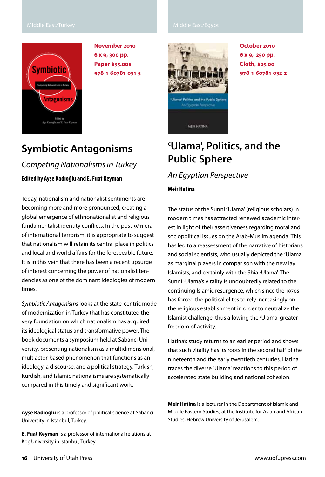### Middle East/Turkey Middle East/Egypt



**November 2010 6 x 9, 300 pp. Paper \$35.00s 978-1-60781-031-5**

## **[Symbiotic Antagonisms](http://content.lib.utah.edu/cdm4/item_viewer.php?CISOROOT=/upcat&CISOPTR=1672&CISOBOX=1&REC=1)**

*Competing Nationalisms in Turkey* 

**Edited by Ayşe Kadıoğlu and E. Fuat Keyman**

Today, nationalism and nationalist sentiments are becoming more and more pronounced, creating a global emergence of ethnonationalist and religious fundamentalist identity conflicts. In the post-9/11 era of international terrorism, it is appropriate to suggest that nationalism will retain its central place in politics and local and world affairs for the foreseeable future. It is in this vein that there has been a recent upsurge of interest concerning the power of nationalist tendencies as one of the dominant ideologies of modern times.

*Symbiotic Antagonisms* looks at the state-centric mode of modernization in Turkey that has constituted the very foundation on which nationalism has acquired its ideological status and transformative power. The book documents a symposium held at Sabancı University, presenting nationalism as a multidimensional, multiactor-based phenomenon that functions as an ideology, a discourse, and a political strategy. Turkish, Kurdish, and Islamic nationalisms are systematically compared in this timely and significant work.

**Ayşe Kadıoğlu** is a professor of political science at Sabancı University in Istanbul, Turkey.

**E. Fuat Keyman** is a professor of international relations at Koç University in Istanbul, Turkey.



**October 2010 6 x 9, 250 pp. Cloth, \$25.00 978-1-60781-032-2**

## **c [Ulama', Politics, and the](http://content.lib.utah.edu/cdm4/item_viewer.php?CISOROOT=/upcat&CISOPTR=1682&CISOBOX=1&REC=1)  [Public Sphere](http://content.lib.utah.edu/cdm4/item_viewer.php?CISOROOT=/upcat&CISOPTR=1682&CISOBOX=1&REC=1)**

*An Egyptian Perspective*

### **Meir Hatina**

The status of the Sunni <sup>c</sup>Ulama' (religious scholars) in modern times has attracted renewed academic interest in light of their assertiveness regarding moral and sociopolitical issues on the Arab-Muslim agenda. This has led to a reassessment of the narrative of historians and social scientists, who usually depicted the 'Ulama' as marginal players in comparison with the new lay Islamists, and certainly with the Shia 'Ulama'. The Sunni 'Ulama's vitality is undoubtedly related to the continuing Islamic resurgence, which since the 1970s has forced the political elites to rely increasingly on the religious establishment in order to neutralize the Islamist challenge, thus allowing the 'Ulama' greater freedom of activity.

Hatina's study returns to an earlier period and shows that such vitality has its roots in the second half of the nineteenth and the early twentieth centuries. Hatina traces the diverse 'Ulama' reactions to this period of accelerated state building and national cohesion.

**Meir Hatina** is a lecturer in the Department of Islamic and Middle Eastern Studies, at the Institute for Asian and African Studies, Hebrew University of Jerusalem.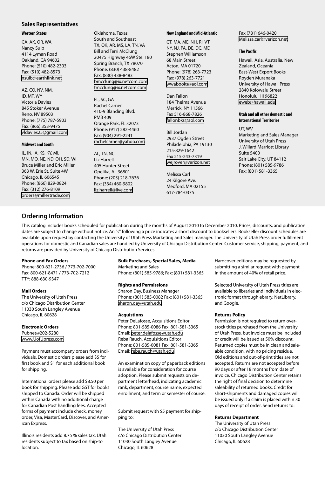#### **Sales Representatives**

#### **Western States**

CA, AK, OR, WA Nancy Suib 4114 Lyman Road Oakland, CA 94602 Phone: (510) 482-2303 Fax: (510) 482-8573 [nsuib@earthlink.net](mailto:nsuib@earthlink.net)

AZ, CO, NV, NM, ID, MT, WY Victoria Davies 845 Stoker Avenue Reno, NV 89503 Phone: (775) 787-5903 Fax: (866) 353-9475 [vldavies25@gmail.com](mailto:vldavies25@gmail.com)

#### **Midwest and South**

IL, IN, IA, KS, KY, MI, MN, MO, NE, ND, OH, SD, WI Bruce Miller and Eric Miller 363 W. Erie St. Suite 4W Chicago, IL 606545 Phone: (866) 829-0824 Fax: (312) 276-8109 [orders@millertrade.com](mailto:orders@millertrade.com)

Oklahoma, Texas, South and Southeast TX, OK, AR, MS, LA, TN, VA Bill and Terri McClung 20475 Highway 46W Ste. 180 Spring Branch, TX 78070 Phone: (830) 438-8482 Fax: (830) 438-8483 [bmcclung@ix.netcom.com](mailto:bmcclung@ix.netcom.com) [tmcclung@ix.netcom.com](mailto:tmcclung@ix.netcom.com)

FL, SC, GA Rachel Carner 410-9 Blanding Blvd. PMB 409 Orange Park, FL 32073 Phone: (917) 282-4460 Fax: (904) 291-2241 [rachelcarner@yahoo.com](mailto:rachelcarner@yahoo.com)

AL, TN, NC Liz Harrell 405 Hunter Street Opelika, AL 36801 Phone: (205) 218-7636 Fax: (334) 460-9802 [liz.harrell@live.com](mailto:liz.harrell@live.com)

#### **New England and Mid-Atlantic**

CT, MA, ME, NH, RI, VT NY, NJ, PA, DE, DC, MD Stephen Williamson 68 Main Street Acton, MA 01720 Phone: (978) 263-7723 Fax: (978) 263-7721 [wwabooks@aol.com](mailto:wwabooks@aol.com)

Dan Fallon 184 Thelma Avenue Merrick, NY 11566 Fax 516-868-7826 [fallonbks@aol.com](mailto:fallonbks@aol.com)

Bill Jordan 2937 Ogden Street Philadelphia, PA 19130 215-829-1642 Fax 215-243-7319 [wejrover@verizon.net](mailto:wejrover@verizon.net)

Melissa Carl 24 Kilgore Ave. Medford, MA 02155 617-784-0375

Fax (781) 646-0420 [Melissa.carl@verizon.net](mailto:Melissa.carl@verizon.net)

#### **The Pacific**

Hawaii, Asia, Australia, New Zealand, Oceania East-West Export Books Royden Muranaka University of Hawaii Press 2840 Kolowalu Street Honolulu, HI 96822 [eweb@hawaii.edu](mailto:eweb@hawaii.edu)

#### **Utah and all other domestic and International Territories**

UT, WV

Marketing and Sales Manager University of Utah Press J. Willard Marriott Library Suite 5400 Salt Lake City, UT 84112 Phone: (801) 585-9786 Fax: (801) 581-3365

## **Ordering Information**

This catalog includes books scheduled for publication during the months of August 2010 to December 2010. Prices, discounts, and publication dates are subject to change without notice. An "s" following a price indicates a short discount to booksellers. Bookseller discount schedules are available upon request by contacting the University of Utah Press Marketing and Sales manager. The University of Utah Press order fulfillment operations for domestic and Canadian sales are handled by University of Chicago Distribution Center. Customer service, shipping, payment, and returns are provided by University of Chicago Distribution Services.

#### **Phone and Fax Orders**

Phone: 800-621-2736 / 773-702-7000 Fax: 800-621-8471 / 773-702-7212 TTY: 888-630-9347

#### **Mail Orders**

The University of Utah Press c/o Chicago Distribution Center 11030 South Langley Avenue Chicago, IL 60628

#### **Electronic Orders**

Pubnet@202-5280 [www.UofUpress.com](http://www.UofUpress.com)

Payment must accompany orders from individuals. Domestic orders please add \$5 for first book and \$1 for each additional book for shipping.

International orders please add \$8.50 per book for shipping. Please add GST for books shipped to Canada. Order will be shipped within Canada with no additional charge for Canadian Post handling fees. Accepted forms of payment include check, money order, Visa, MasterCard, Discover, and American Express.

Illinois residents add 8.75 % sales tax. Utah residents subject to tax based on ship-to location.

#### **Bulk Purchases, Special Sales, Media**

Marketing and Sales Phone: (801) 585-9786; Fax: (801) 581-3365

#### **Rights and Permissions**

Sharon Day, Business Manager Phone: (801) 585-0082 Fax: (801) 581-3365 [sharon.day@utah.edu](mailto:sharon.day@utah.edu)

#### **Acquistions**

Peter DeLafosse, Acquisitions Editor Phone: 801-585-0086 Fax: 801-581-3365 Email: [peter.delafosse@utah.edu](mailto:peter.delafosse@utah.edu) Reba Rauch, Acquisitions Editor Phone: 801-585-0081 Fax: 801-581-3365 Email: [reba.rauch@utah.edu](mailto:reba.rauch@utah.edu)

An examination copy of paperback editions is available for consideration for course adoption. Please submit requests on department letterhead, indicating academic rank, department, course name, expected enrollment, and term or semester of course.

Submit request with \$5 payment for shipping to:

The University of Utah Press c/o Chicago Distribution Center 11030 South Langley Avenue Chicago, IL 60628

Hardcover editions may be requested by submitting a similar request with payment in the amount of 40% of retail price.

Selected University of Utah Press titles are available to libraries and individuals in electronic format through ebrary, NetLibrary, and Google.

#### **Returns Policy**

Permission is not required to return overstock titles purchased from the University of Utah Press, but invoice must be included or credit will be issued at 50% discount. Returned copies must be in clean and saleable condition, with no pricing residue. Old editions and out-of-print titles are not accepted. Returns are not accepted before 90 days or after 18 months from date of invoice. Chicago Distribution Center retains the right of final decision to determine saleability of returned books. Credit for short-shipments and damaged copies will be issued only if a claim is placed within 30 days of receipt of order. Send returns to:

#### **Returns Department**

The University of Utah Press c/o Chicago Distribution Center 11030 South Langley Avenue Chicago, IL 60628